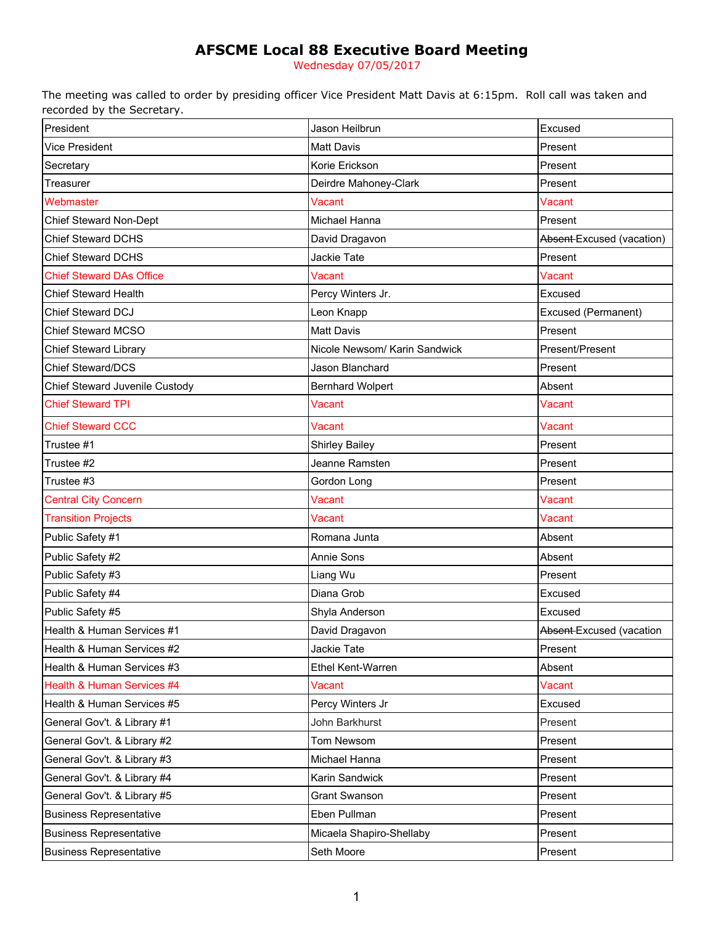# **AFSCME Local 88 Executive Board Meeting**

Wednesday 07/05/2017

The meeting was called to order by presiding officer Vice President Matt Davis at 6:15pm. Roll call was taken and recorded by the Secretary.

| President                       | Jason Heilbrun                | Excused                    |
|---------------------------------|-------------------------------|----------------------------|
| <b>Vice President</b>           | <b>Matt Davis</b>             | Present                    |
| Secretary                       | Korie Erickson                | Present                    |
| Treasurer                       | Deirdre Mahoney-Clark         | Present                    |
| Webmaster                       | Vacant                        | Vacant                     |
| Chief Steward Non-Dept          | Michael Hanna                 | Present                    |
| <b>Chief Steward DCHS</b>       | David Dragavon                | Absent-Excused (vacation)  |
| <b>Chief Steward DCHS</b>       | Jackie Tate                   | Present                    |
| <b>Chief Steward DAs Office</b> | <b>Vacant</b>                 | Vacant                     |
| <b>Chief Steward Health</b>     | Percy Winters Jr.             | Excused                    |
| Chief Steward DCJ               | Leon Knapp                    | <b>Excused (Permanent)</b> |
| Chief Steward MCSO              | <b>Matt Davis</b>             | Present                    |
| <b>Chief Steward Library</b>    | Nicole Newsom/ Karin Sandwick | Present/Present            |
| <b>Chief Steward/DCS</b>        | Jason Blanchard               | Present                    |
| Chief Steward Juvenile Custody  | <b>Bernhard Wolpert</b>       | Absent                     |
| <b>Chief Steward TPI</b>        | Vacant                        | Vacant                     |
| <b>Chief Steward CCC</b>        | <b>Vacant</b>                 | Vacant                     |
| Trustee #1                      | <b>Shirley Bailey</b>         | Present                    |
| Trustee #2                      | Jeanne Ramsten                | Present                    |
| Trustee #3                      | Gordon Long                   | Present                    |
| <b>Central City Concern</b>     | Vacant                        | Vacant                     |
| <b>Transition Projects</b>      | Vacant                        | Vacant                     |
| Public Safety #1                | Romana Junta                  | Absent                     |
| Public Safety #2                | Annie Sons                    | Absent                     |
| Public Safety #3                | Liang Wu                      | Present                    |
| Public Safety #4                | Diana Grob                    | Excused                    |
| Public Safety #5                | Shyla Anderson                | Excused                    |
| Health & Human Services #1      | David Dragavon                | Absent-Excused (vacation   |
| Health & Human Services #2      | Jackie Tate                   | Present                    |
| Health & Human Services #3      | Ethel Kent-Warren             | Absent                     |
| Health & Human Services #4      | Vacant                        | Vacant                     |
| Health & Human Services #5      | Percy Winters Jr              | Excused                    |
| General Gov't. & Library #1     | John Barkhurst                | Present                    |
| General Gov't. & Library #2     | Tom Newsom                    | Present                    |
| General Gov't. & Library #3     | Michael Hanna                 | Present                    |
| General Gov't. & Library #4     | Karin Sandwick                | Present                    |
| General Gov't. & Library #5     | <b>Grant Swanson</b>          | Present                    |
| <b>Business Representative</b>  | Eben Pullman                  | Present                    |
| <b>Business Representative</b>  | Micaela Shapiro-Shellaby      | Present                    |
| <b>Business Representative</b>  | Seth Moore                    | Present                    |